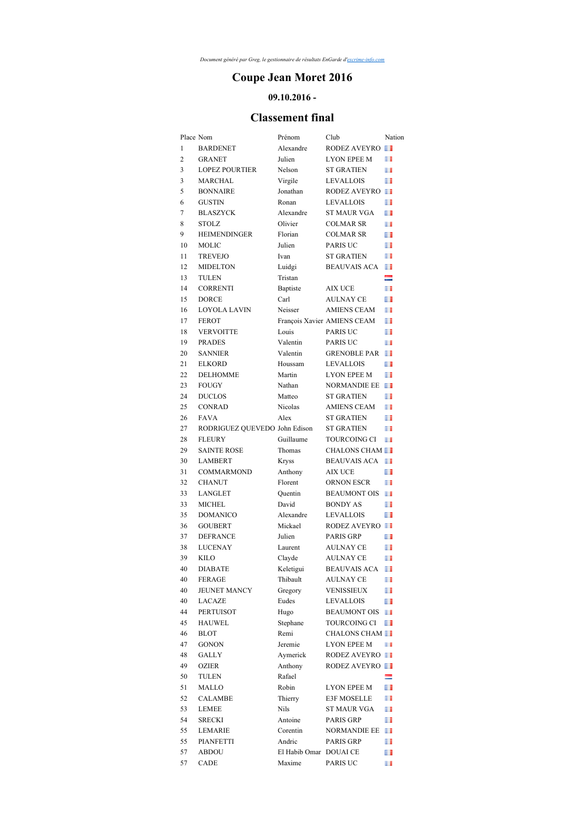## **Coupe Jean Moret 2016**

## **09.10.2016 -**

## **Classement final**

|                | Place Nom                     | Prénom                 | Club                        | Nation |
|----------------|-------------------------------|------------------------|-----------------------------|--------|
| 1              | <b>BARDENET</b>               | Alexandre              | RODEZ AVEYRO                |        |
| $\overline{2}$ | <b>GRANET</b>                 | Julien                 | <b>LYON EPEE M</b>          | Ш      |
| 3              | <b>LOPEZ POURTIER</b>         | Nelson                 | <b>ST GRATIEN</b>           | m      |
| 3              | MARCHAL                       | Virgile                | <b>LEVALLOIS</b>            | ш      |
| 5              | <b>BONNAIRE</b>               | Jonathan               | RODEZ AVEYRO                |        |
| 6              | <b>GUSTIN</b>                 | Ronan                  | <b>LEVALLOIS</b>            | ш      |
| 7              | <b>BLASZYCK</b>               | Alexandre              | <b>ST MAUR VGA</b>          | u      |
| 8              | <b>STOLZ</b>                  | Olivier                | COLMAR SR                   | w      |
| 9              | <b>HEIMENDINGER</b>           | Florian                | <b>COLMAR SR</b>            | ш      |
| 10             | MOLIC                         | Julien                 | <b>PARIS UC</b>             | ш      |
| 11             | <b>TREVEJO</b>                | Ivan                   | <b>ST GRATIEN</b>           | H      |
| 12             | <b>MIDELTON</b>               | Luidgi                 | <b>BEAUVAIS ACA</b>         | ш      |
| 13             | TULEN                         | Tristan                |                             | =      |
| 14             | <b>CORRENTI</b>               | Baptiste               | <b>AIX UCE</b>              | Ш      |
| 15             | <b>DORCE</b>                  | Carl                   | <b>AULNAY CE</b>            | Ш      |
|                |                               |                        |                             |        |
| 16             | LOYOLA LAVIN                  | Neisser                | AMIENS CEAM                 | ш      |
| 17             | <b>FEROT</b>                  |                        | François Xavier AMIENS CEAM | ш      |
| 18             | <b>VERVOITTE</b>              | Louis                  | <b>PARIS UC</b>             | Ш      |
| 19             | <b>PRADES</b>                 | Valentin               | <b>PARIS UC</b>             | Ш      |
| 20             | <b>SANNIER</b>                | Valentin               | <b>GRENOBLE PAR</b>         | ш      |
| 21             | <b>ELKORD</b>                 | Houssam                | LEVALLOIS                   | ш      |
| 22             | <b>DELHOMME</b>               | Martin                 | <b>LYON EPEE M</b>          | Ш      |
| 23             | <b>FOUGY</b>                  | Nathan                 | NORMANDIE EE                | ш      |
| 24             | <b>DUCLOS</b>                 | Matteo                 | <b>ST GRATIEN</b>           | Ш      |
| 25             | <b>CONRAD</b>                 | <b>Nicolas</b>         | <b>AMIENS CEAM</b>          | Ш      |
| 26             | <b>FAVA</b>                   | Alex                   | <b>ST GRATIEN</b>           | ш      |
| 27             | RODRIGUEZ QUEVEDO John Edison |                        | <b>ST GRATIEN</b>           | m      |
| 28             | <b>FLEURY</b>                 | Guillaume              | <b>TOURCOING CI</b>         | H      |
| 29             | <b>SAINTE ROSE</b>            | Thomas                 | <b>CHALONS CHAM</b>         |        |
| 30             | <b>LAMBERT</b>                | Kryss                  | <b>BEAUVAIS ACA</b>         | H      |
| 31             | <b>COMMARMOND</b>             | Anthony                | <b>AIX UCE</b>              | Ш      |
| 32             | <b>CHANUT</b>                 | Florent                | ORNON ESCR                  | ш      |
| 33             | LANGLET                       | Quentin                | <b>BEAUMONT OIS</b>         | u      |
| 33             | <b>MICHEL</b>                 | David                  | <b>BONDY AS</b>             | ш      |
| 35             | <b>DOMANICO</b>               | Alexandre              | <b>LEVALLOIS</b>            | Ш      |
| 36             | <b>GOUBERT</b>                | Mickael                | RODEZ AVEYRO                |        |
| 37             | <b>DEFRANCE</b>               | Julien                 | PARIS GRP                   | ш      |
| 38             | <b>LUCENAY</b>                | Laurent                | <b>AULNAY CE</b>            | ш      |
| 39             | KILO                          | Clayde                 | <b>AULNAY CE</b>            | ш      |
| 40             | <b>DIABATE</b>                | Keletigui              | <b>BEAUVAIS ACA</b>         | П      |
| 40             | <b>FERAGE</b>                 | Thibault               | AULNAY CE                   | m      |
| 40             | <b>JEUNET MANCY</b>           | Gregory                | <b>VENISSIEUX</b>           | ш      |
| 40             | <b>LACAZE</b>                 | Eudes                  | LEVALLOIS                   | ш      |
| 44             | <b>PERTUISOT</b>              |                        | <b>BEAUMONT OIS</b>         | m      |
|                |                               | Hugo                   |                             |        |
| 45             | <b>HAUWEL</b>                 | Stephane               | TOURCOING CI                | ш      |
| 46             | <b>BLOT</b>                   | Remi                   | <b>CHALONS CHAM</b>         |        |
| 47             | <b>GONON</b>                  | Jeremie                | LYON EPEE M                 | l I    |
| 48             | GALLY                         | Aymerick               | RODEZ AVEYRO                |        |
| 49             | OZIER                         | Anthony                | RODEZ AVEYRO                |        |
| 50             | TULEN                         | Rafael                 |                             | =      |
| 51             | MALLO                         | Robin                  | LYON EPEE M                 | ш      |
| 52             | CALAMBE                       | Thierry                | E3F MOSELLE                 | m      |
| 53             | LEMEE                         | Nils                   | <b>ST MAUR VGA</b>          | ш      |
| 54             | <b>SRECKI</b>                 | Antoine                | PARIS GRP                   | ш      |
| 55             | <b>LEMARIE</b>                | Corentin               | NORMANDIE EE                | ш      |
| 55             | PIANFETTI                     | Andric                 | PARIS GRP                   | ш      |
| 57             | ABDOU                         | El Habib Omar DOUAI CE |                             | ш      |
| 57             | CADE                          | Maxime                 | PARIS UC                    | m      |